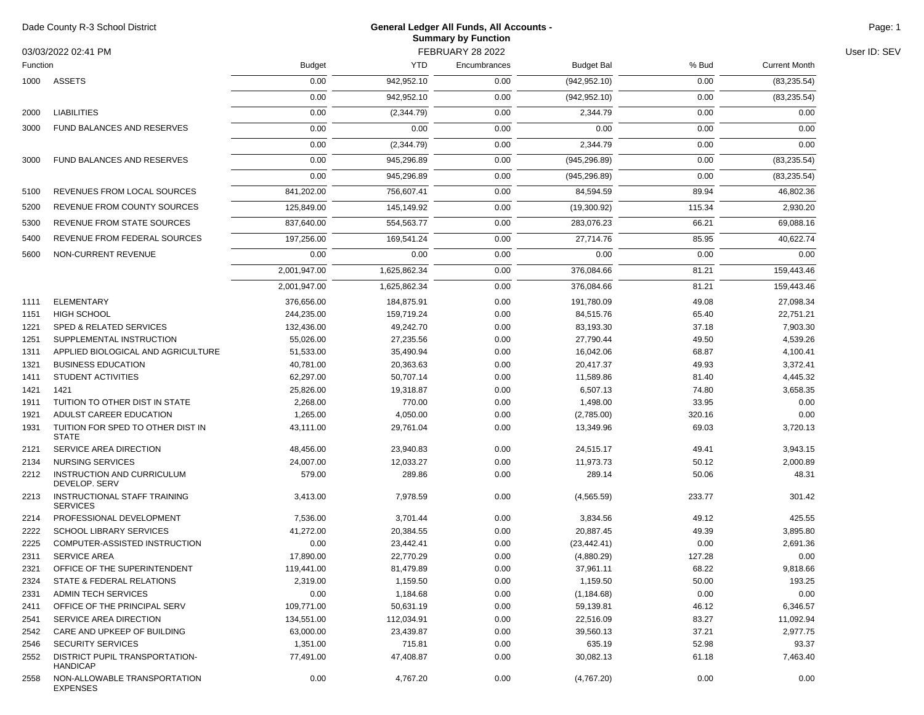| Dade County R-3 School District<br>03/03/2022 02:41 PM<br>Function |                                                   | <b>General Ledger All Funds, All Accounts -</b><br><b>Summary by Function</b> |              |              |                   |        |                      | Page: 1      |
|--------------------------------------------------------------------|---------------------------------------------------|-------------------------------------------------------------------------------|--------------|--------------|-------------------|--------|----------------------|--------------|
|                                                                    |                                                   | <b>FEBRUARY 28 2022</b>                                                       |              |              |                   |        |                      | User ID: SEV |
|                                                                    |                                                   | <b>Budget</b>                                                                 | <b>YTD</b>   | Encumbrances | <b>Budget Bal</b> | % Bud  | <b>Current Month</b> |              |
| 1000                                                               | ASSETS                                            | 0.00                                                                          | 942,952.10   | 0.00         | (942, 952.10)     | 0.00   | (83, 235.54)         |              |
|                                                                    |                                                   | 0.00                                                                          | 942,952.10   | 0.00         | (942, 952.10)     | 0.00   | (83, 235.54)         |              |
| 2000                                                               | <b>LIABILITIES</b>                                | 0.00                                                                          | (2,344.79)   | 0.00         | 2,344.79          | 0.00   | 0.00                 |              |
| 3000                                                               | FUND BALANCES AND RESERVES                        | 0.00                                                                          | 0.00         | 0.00         | 0.00              | 0.00   | 0.00                 |              |
|                                                                    |                                                   | 0.00                                                                          |              |              |                   | 0.00   | 0.00                 |              |
|                                                                    |                                                   |                                                                               | (2, 344.79)  | 0.00         | 2,344.79          |        |                      |              |
| 3000                                                               | <b>FUND BALANCES AND RESERVES</b>                 | 0.00                                                                          | 945,296.89   | 0.00         | (945, 296.89)     | 0.00   | (83, 235.54)         |              |
|                                                                    |                                                   | 0.00                                                                          | 945,296.89   | 0.00         | (945, 296.89)     | 0.00   | (83, 235.54)         |              |
| 5100                                                               | REVENUES FROM LOCAL SOURCES                       | 841,202.00                                                                    | 756,607.41   | 0.00         | 84,594.59         | 89.94  | 46,802.36            |              |
| 5200                                                               | REVENUE FROM COUNTY SOURCES                       | 125,849.00                                                                    | 145,149.92   | 0.00         | (19,300.92)       | 115.34 | 2,930.20             |              |
| 5300                                                               | REVENUE FROM STATE SOURCES                        | 837,640.00                                                                    | 554,563.77   | 0.00         | 283,076.23        | 66.21  | 69,088.16            |              |
| 5400                                                               | REVENUE FROM FEDERAL SOURCES                      | 197,256.00                                                                    | 169,541.24   | 0.00         | 27,714.76         | 85.95  | 40,622.74            |              |
| 5600                                                               | NON-CURRENT REVENUE                               | 0.00                                                                          | 0.00         | 0.00         | 0.00              | 0.00   | 0.00                 |              |
|                                                                    |                                                   | 2,001,947.00                                                                  | 1,625,862.34 | 0.00         | 376,084.66        | 81.21  | 159,443.46           |              |
|                                                                    |                                                   |                                                                               |              |              |                   |        |                      |              |
|                                                                    |                                                   | 2,001,947.00                                                                  | 1.625.862.34 | 0.00         | 376.084.66        | 81.21  | 159,443.46           |              |
| 1111                                                               | <b>ELEMENTARY</b>                                 | 376,656.00                                                                    | 184,875.91   | 0.00         | 191,780.09        | 49.08  | 27,098.34            |              |
| 1151                                                               | <b>HIGH SCHOOL</b>                                | 244,235.00                                                                    | 159,719.24   | 0.00         | 84,515.76         | 65.40  | 22,751.21            |              |
| 1221                                                               | <b>SPED &amp; RELATED SERVICES</b>                | 132,436.00                                                                    | 49,242.70    | 0.00         | 83,193.30         | 37.18  | 7,903.30             |              |
| 1251                                                               | SUPPLEMENTAL INSTRUCTION                          | 55,026.00                                                                     | 27,235.56    | 0.00         | 27,790.44         | 49.50  | 4,539.26             |              |
| 1311                                                               | APPLIED BIOLOGICAL AND AGRICULTURE                | 51,533.00                                                                     | 35,490.94    | 0.00         | 16,042.06         | 68.87  | 4,100.41             |              |
| 1321                                                               | <b>BUSINESS EDUCATION</b>                         | 40,781.00                                                                     | 20,363.63    | 0.00         | 20,417.37         | 49.93  | 3,372.41             |              |
| 1411                                                               | <b>STUDENT ACTIVITIES</b>                         | 62,297.00                                                                     | 50,707.14    | 0.00         | 11,589.86         | 81.40  | 4,445.32             |              |
| 1421                                                               | 1421                                              | 25,826.00                                                                     | 19,318.87    | 0.00         | 6,507.13          | 74.80  | 3,658.35             |              |
| 1911                                                               | TUITION TO OTHER DIST IN STATE                    | 2,268.00                                                                      | 770.00       | 0.00         | 1,498.00          | 33.95  | 0.00                 |              |
| 1921                                                               | ADULST CAREER EDUCATION                           | 1,265.00                                                                      | 4,050.00     | 0.00         | (2,785.00)        | 320.16 | 0.00                 |              |
| 1931                                                               | TUITION FOR SPED TO OTHER DIST IN<br><b>STATE</b> | 43,111.00                                                                     | 29,761.04    | 0.00         | 13,349.96         | 69.03  | 3,720.13             |              |
| 2121                                                               | SERVICE AREA DIRECTION                            | 48,456.00                                                                     | 23,940.83    | 0.00         | 24,515.17         | 49.41  | 3,943.15             |              |
| 2134                                                               | <b>NURSING SERVICES</b>                           | 24,007.00                                                                     | 12,033.27    | 0.00         | 11,973.73         | 50.12  | 2,000.89             |              |
| 2212                                                               | INSTRUCTION AND CURRICULUM<br>DEVELOP. SERV       | 579.00                                                                        | 289.86       | 0.00         | 289.14            | 50.06  | 48.31                |              |
| 2213                                                               | INSTRUCTIONAL STAFF TRAINING<br><b>SERVICES</b>   | 3,413.00                                                                      | 7,978.59     | 0.00         | (4,565.59)        | 233.77 | 301.42               |              |
| 2214                                                               | PROFESSIONAL DEVELOPMENT                          | 7,536.00                                                                      | 3,701.44     | 0.00         | 3,834.56          | 49.12  | 425.55               |              |
| 2222                                                               | <b>SCHOOL LIBRARY SERVICES</b>                    | 41,272.00                                                                     | 20,384.55    | 0.00         | 20,887.45         | 49.39  | 3,895.80             |              |
| 2225                                                               | COMPUTER-ASSISTED INSTRUCTION                     | 0.00                                                                          | 23,442.41    | 0.00         | (23, 442.41)      | 0.00   | 2,691.36             |              |
| 2311                                                               | <b>SERVICE AREA</b>                               | 17,890.00                                                                     | 22,770.29    | 0.00         | (4,880.29)        | 127.28 | 0.00                 |              |
| 2321                                                               | OFFICE OF THE SUPERINTENDENT                      | 119,441.00                                                                    | 81,479.89    | 0.00         | 37,961.11         | 68.22  | 9,818.66             |              |
| 2324                                                               | STATE & FEDERAL RELATIONS                         | 2,319.00                                                                      | 1,159.50     | 0.00         | 1,159.50          | 50.00  | 193.25               |              |
| 2331                                                               | ADMIN TECH SERVICES                               | 0.00                                                                          | 1,184.68     | 0.00         | (1, 184.68)       | 0.00   | 0.00                 |              |
| 2411                                                               | OFFICE OF THE PRINCIPAL SERV                      | 109,771.00                                                                    | 50,631.19    | 0.00         | 59,139.81         | 46.12  | 6,346.57             |              |
| 2541                                                               | SERVICE AREA DIRECTION                            | 134,551.00                                                                    | 112,034.91   | 0.00         | 22,516.09         | 83.27  | 11,092.94            |              |
| 2542                                                               | CARE AND UPKEEP OF BUILDING                       | 63,000.00                                                                     | 23,439.87    | 0.00         | 39,560.13         | 37.21  | 2,977.75             |              |
| 2546                                                               | <b>SECURITY SERVICES</b>                          | 1,351.00                                                                      | 715.81       | 0.00         | 635.19            | 52.98  | 93.37                |              |
| 2552                                                               | DISTRICT PUPIL TRANSPORTATION-<br><b>HANDICAP</b> | 77,491.00                                                                     | 47,408.87    | 0.00         | 30,082.13         | 61.18  | 7,463.40             |              |
| 2558                                                               | NON-ALLOWABLE TRANSPORTATION<br><b>EXPENSES</b>   | 0.00                                                                          | 4,767.20     | 0.00         | (4,767.20)        | 0.00   | 0.00                 |              |